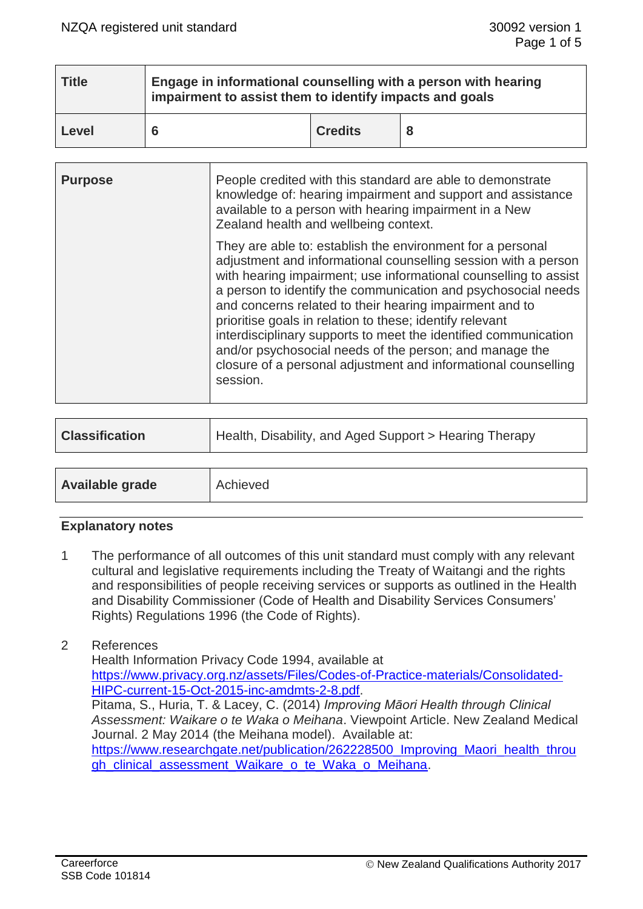| <b>Title</b> | Engage in informational counselling with a person with hearing<br>impairment to assist them to identify impacts and goals |                |  |  |  |
|--------------|---------------------------------------------------------------------------------------------------------------------------|----------------|--|--|--|
| Level        |                                                                                                                           | <b>Credits</b> |  |  |  |

| <b>Purpose</b> | People credited with this standard are able to demonstrate<br>knowledge of: hearing impairment and support and assistance<br>available to a person with hearing impairment in a New<br>Zealand health and wellbeing context.                                                                                                                                                                                                                                                                                                                                                                         |  |
|----------------|------------------------------------------------------------------------------------------------------------------------------------------------------------------------------------------------------------------------------------------------------------------------------------------------------------------------------------------------------------------------------------------------------------------------------------------------------------------------------------------------------------------------------------------------------------------------------------------------------|--|
|                | They are able to: establish the environment for a personal<br>adjustment and informational counselling session with a person<br>with hearing impairment; use informational counselling to assist<br>a person to identify the communication and psychosocial needs<br>and concerns related to their hearing impairment and to<br>prioritise goals in relation to these; identify relevant<br>interdisciplinary supports to meet the identified communication<br>and/or psychosocial needs of the person; and manage the<br>closure of a personal adjustment and informational counselling<br>session. |  |

| <b>Classification</b>  | Health, Disability, and Aged Support > Hearing Therapy |
|------------------------|--------------------------------------------------------|
|                        |                                                        |
| <b>Available grade</b> | Achieved                                               |

## **Explanatory notes**

1 The performance of all outcomes of this unit standard must comply with any relevant cultural and legislative requirements including the Treaty of Waitangi and the rights and responsibilities of people receiving services or supports as outlined in the Health and Disability Commissioner (Code of Health and Disability Services Consumers' Rights) Regulations 1996 (the Code of Rights).

## 2 References

Health Information Privacy Code 1994, available at [https://www.privacy.org.nz/assets/Files/Codes-of-Practice-materials/Consolidated-](https://www.privacy.org.nz/assets/Files/Codes-of-Practice-materials/Consolidated-HIPC-current-15-Oct-2015-inc-amdmts-2-8.pdf)[HIPC-current-15-Oct-2015-inc-amdmts-2-8.pdf.](https://www.privacy.org.nz/assets/Files/Codes-of-Practice-materials/Consolidated-HIPC-current-15-Oct-2015-inc-amdmts-2-8.pdf) Pitama, S., Huria, T. & Lacey, C. (2014) *Improving Māori Health through Clinical Assessment: Waikare o te Waka o Meihana*. Viewpoint Article. New Zealand Medical Journal. 2 May 2014 (the Meihana model). Available at: https://www.researchgate.net/publication/262228500 Improving Maori health throu [gh\\_clinical\\_assessment\\_Waikare\\_o\\_te\\_Waka\\_o\\_Meihana.](https://www.researchgate.net/publication/262228500_Improving_Maori_health_through_clinical_assessment_Waikare_o_te_Waka_o_Meihana)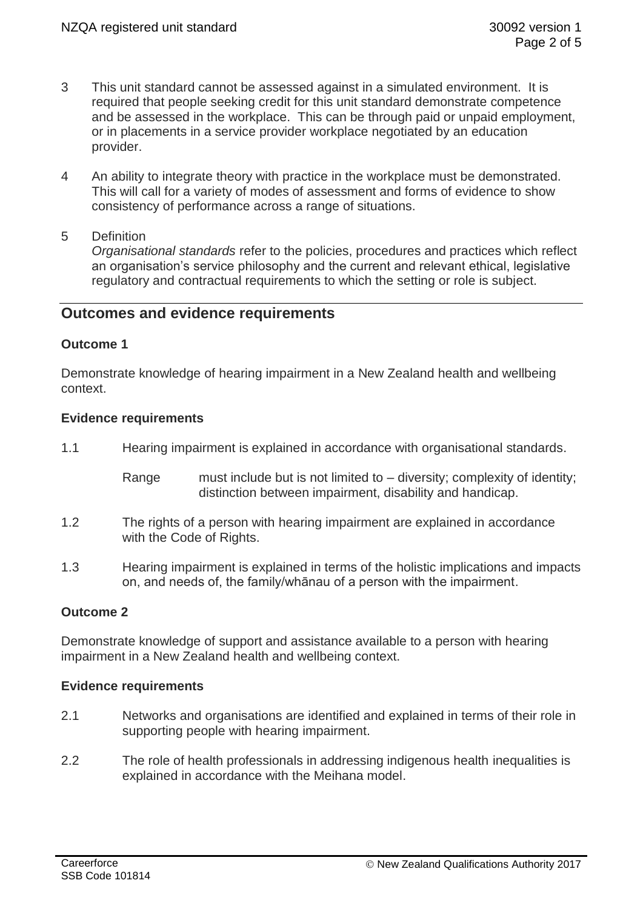- 3 This unit standard cannot be assessed against in a simulated environment. It is required that people seeking credit for this unit standard demonstrate competence and be assessed in the workplace. This can be through paid or unpaid employment, or in placements in a service provider workplace negotiated by an education provider.
- 4 An ability to integrate theory with practice in the workplace must be demonstrated. This will call for a variety of modes of assessment and forms of evidence to show consistency of performance across a range of situations.
- 5 Definition

*Organisational standards* refer to the policies, procedures and practices which reflect an organisation's service philosophy and the current and relevant ethical, legislative regulatory and contractual requirements to which the setting or role is subject.

# **Outcomes and evidence requirements**

## **Outcome 1**

Demonstrate knowledge of hearing impairment in a New Zealand health and wellbeing context.

#### **Evidence requirements**

- 1.1 Hearing impairment is explained in accordance with organisational standards.
	- Range must include but is not limited to diversity; complexity of identity; distinction between impairment, disability and handicap.
- 1.2 The rights of a person with hearing impairment are explained in accordance with the Code of Rights.
- 1.3 Hearing impairment is explained in terms of the holistic implications and impacts on, and needs of, the family/whānau of a person with the impairment.

## **Outcome 2**

Demonstrate knowledge of support and assistance available to a person with hearing impairment in a New Zealand health and wellbeing context.

## **Evidence requirements**

- 2.1 Networks and organisations are identified and explained in terms of their role in supporting people with hearing impairment.
- 2.2 The role of health professionals in addressing indigenous health inequalities is explained in accordance with the Meihana model.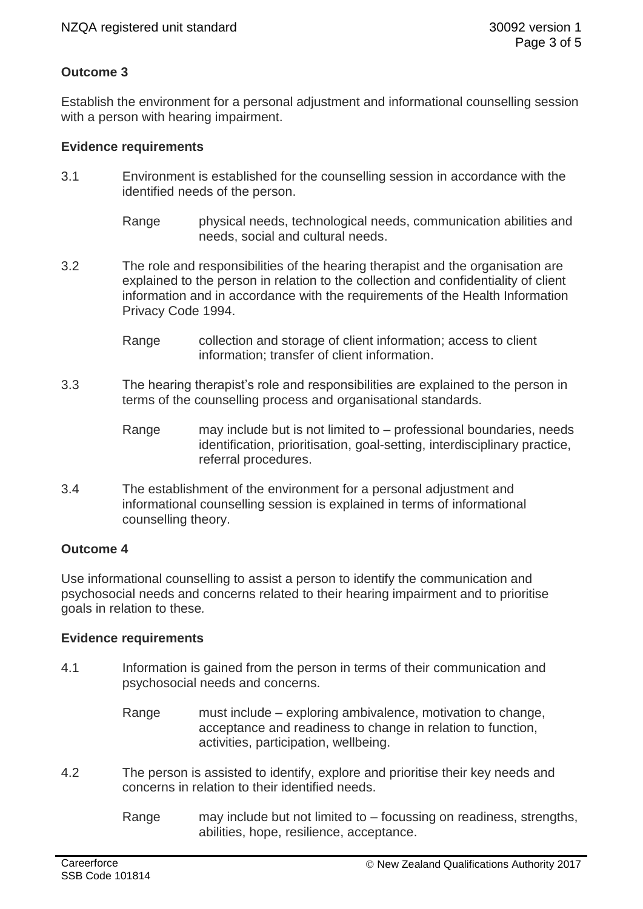## **Outcome 3**

Establish the environment for a personal adjustment and informational counselling session with a person with hearing impairment.

#### **Evidence requirements**

- 3.1 Environment is established for the counselling session in accordance with the identified needs of the person.
	- Range physical needs, technological needs, communication abilities and needs, social and cultural needs.
- 3.2 The role and responsibilities of the hearing therapist and the organisation are explained to the person in relation to the collection and confidentiality of client information and in accordance with the requirements of the Health Information Privacy Code 1994.
	- Range collection and storage of client information; access to client information; transfer of client information.
- 3.3 The hearing therapist's role and responsibilities are explained to the person in terms of the counselling process and organisational standards.
	- Range may include but is not limited to professional boundaries, needs identification, prioritisation, goal-setting, interdisciplinary practice, referral procedures.
- 3.4 The establishment of the environment for a personal adjustment and informational counselling session is explained in terms of informational counselling theory.

## **Outcome 4**

Use informational counselling to assist a person to identify the communication and psychosocial needs and concerns related to their hearing impairment and to prioritise goals in relation to these*.*

## **Evidence requirements**

- 4.1 Information is gained from the person in terms of their communication and psychosocial needs and concerns.
	- Range must include exploring ambivalence, motivation to change, acceptance and readiness to change in relation to function, activities, participation, wellbeing.
- 4.2 The person is assisted to identify, explore and prioritise their key needs and concerns in relation to their identified needs.
	- Range may include but not limited to focussing on readiness, strengths, abilities, hope, resilience, acceptance.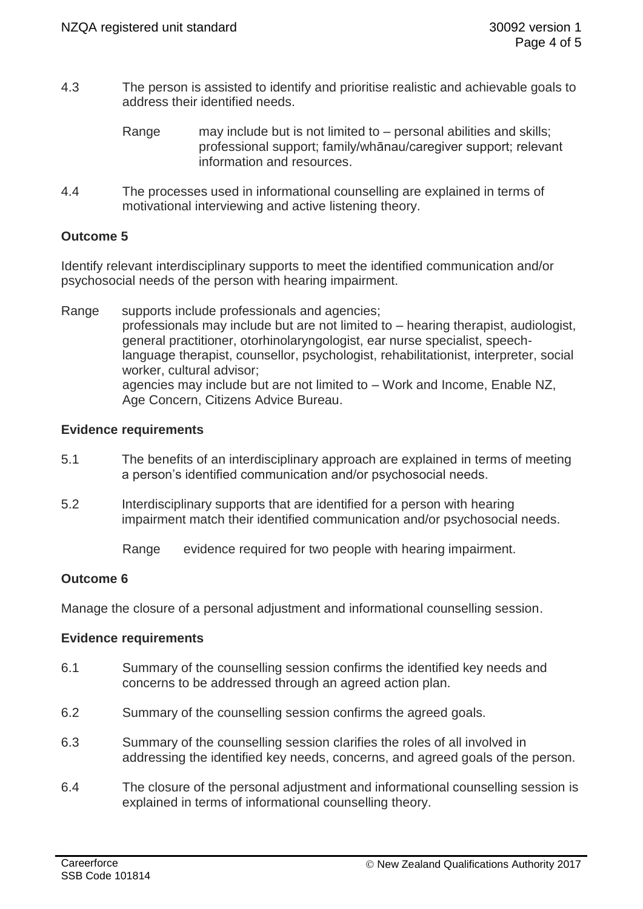- 4.3 The person is assisted to identify and prioritise realistic and achievable goals to address their identified needs.
	- Range may include but is not limited to personal abilities and skills; professional support; family/whānau/caregiver support; relevant information and resources.
- 4.4 The processes used in informational counselling are explained in terms of motivational interviewing and active listening theory.

## **Outcome 5**

Identify relevant interdisciplinary supports to meet the identified communication and/or psychosocial needs of the person with hearing impairment.

Range supports include professionals and agencies; professionals may include but are not limited to – hearing therapist, audiologist, general practitioner, otorhinolaryngologist, ear nurse specialist, speechlanguage therapist, counsellor, psychologist, rehabilitationist, interpreter, social worker, cultural advisor; agencies may include but are not limited to – Work and Income, Enable NZ, Age Concern, Citizens Advice Bureau.

## **Evidence requirements**

- 5.1 The benefits of an interdisciplinary approach are explained in terms of meeting a person's identified communication and/or psychosocial needs.
- 5.2 Interdisciplinary supports that are identified for a person with hearing impairment match their identified communication and/or psychosocial needs.

Range evidence required for two people with hearing impairment.

# **Outcome 6**

Manage the closure of a personal adjustment and informational counselling session.

## **Evidence requirements**

- 6.1 Summary of the counselling session confirms the identified key needs and concerns to be addressed through an agreed action plan.
- 6.2 Summary of the counselling session confirms the agreed goals.
- 6.3 Summary of the counselling session clarifies the roles of all involved in addressing the identified key needs, concerns, and agreed goals of the person.
- 6.4 The closure of the personal adjustment and informational counselling session is explained in terms of informational counselling theory.